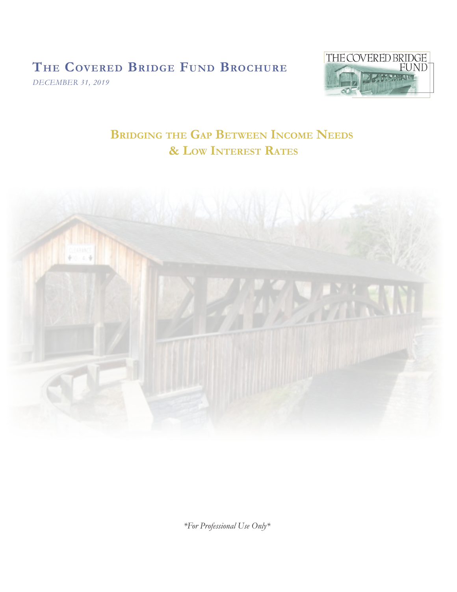# **The Covered Bridge Fund Brochure**

*DECEMBER 31, 2019* 



 **Bridging the Gap Between Income Needs & Low Interest Rates**



*\*For Professional Use Only\**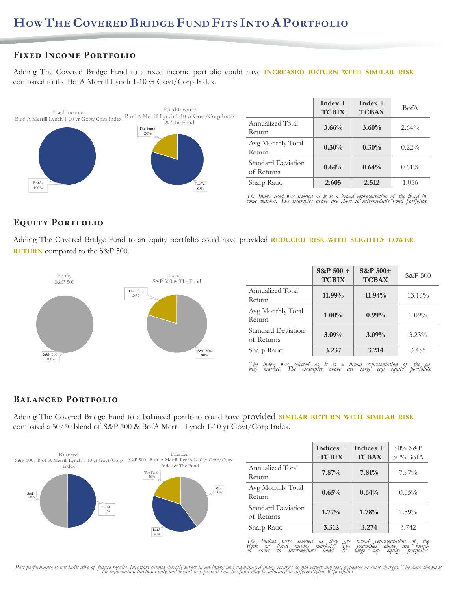# **Fixed Income Portfolio**

Adding The Covered Bridge Fund to a fixed income portfolio could have **increased return with similar risk** compared to the BofA Merrill Lynch 1-10 yr Govt/Corp Index.



|                                          | $Index +$<br><b>TCBIX</b> | $Index +$<br><b>TCBAX</b> | <b>BofA</b> |
|------------------------------------------|---------------------------|---------------------------|-------------|
| <b>Annualized Total</b><br><b>Return</b> | 3.66%                     | $3.60\%$                  | 2.64%       |
| Avg Monthly Total<br><b>Return</b>       | $0.30\%$                  | $0.30\%$                  | $0.22\%$    |
| Standard Deviation<br>of Returns         | 0.64%                     | 0.64%                     | $0.61\%$    |
| Sharp Ratio                              | 2.605                     | 2.512                     | 1.056       |

*The Index used was selected as it is a broad representation of the fixed in- come market. The examples above are short to intermediate bond portfolios.*

## **Equity Portfolio**

Adding The Covered Bridge Fund to an equity portfolio could have provided **REDUCED RISK WITH SLIGHTLY LOWER RETURN** compared to the S&P 500.



|                                  | $S\&P 500 +$<br><b>TCBIX</b> | $S\&P 500+$<br><b>TCBAX</b> | S&P 500  |
|----------------------------------|------------------------------|-----------------------------|----------|
| Annualized Total<br>Return       | 11.99%                       | $11.94\%$                   | 13.16%   |
| Avg Monthly Total<br>Return      | $1.00\%$                     | $0.99\%$                    | $1.09\%$ |
| Standard Deviation<br>of Returns | $3.09\%$                     | $3.09\%$                    | $3.23\%$ |
| Sharp Ratio                      | 3.237                        | 3.214                       | 3.455    |

*The index was selected as it is a broad representation of the eq- uity market. The examples above are large cap equity portfolios.*

# **Balanced Portfolio**

Adding The Covered Bridge Fund to a balanced portfolio could have provided **similar return with similar risk** compared a 50/50 blend of S&P 500 & BofA Merrill Lynch 1-10 yr Govt/Corp Index.



Past performance is not indicative of future results. Investors cannot directly invest in an index and unmanaged index returns do not reflect any fees, expenses or sales charges. The data shown is<br>for information purposes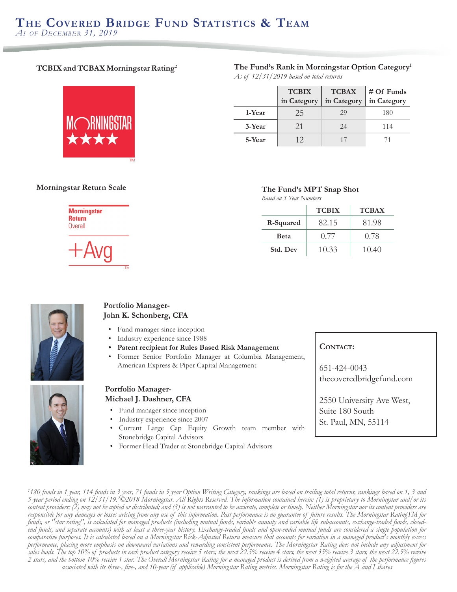## **TCBIX and TCBAX Morningstar Rating2**

#### **The Fund's Rank in Morningstar Option Category1** *As of 12/31/2019 based on total returns*



|        | <b>TCBIX</b> | <b>TCBAX</b> | # Of Funds  |
|--------|--------------|--------------|-------------|
|        | in Category  | in Category  | in Category |
| 1-Year | 25           | 29           | 180         |
| 3-Year | 21           | 24           | 114         |
| 5-Year | 12           |              |             |

## **Morningstar Return Scale The Fund's MPT Snap Shot**

|                          | Based on 3 Year Numbers |              |              |
|--------------------------|-------------------------|--------------|--------------|
| <b>Morningstar</b>       |                         | <b>TCBIX</b> | <b>TCBAX</b> |
| <b>Return</b><br>Overall | R-Squared               | 82.15        | 81.98        |
|                          | <b>B</b> eta            | 0.77         | 0.78         |
| $+Avg$                   | Std. Dev                | 10.33        | 10.40        |



#### **Portfolio Manager-John K. Schonberg, CFA**

- Fund manager since inception
- Industry experience since 1988
- **• Patent recipient for Rules Based Risk Management**
- Former Senior Portfolio Manager at Columbia Management, American Express & Piper Capital Management

#### **Portfolio Manager-Michael J. Dashner, CFA**

- Fund manager since inception
- Industry experience since 2007
- Current Large Cap Equity Growth team member with Stonebridge Capital Advisors
- Former Head Trader at Stonebridge Capital Advisors

#### CONTACT:

651-424-0043 thecoveredbridgefund.com

2550 University Ave West, Suite 180 South St. Paul, MN, 55114

*1 180 funds in 1 year, 114 funds in 3 year, 71 funds in 5 year Option Writing Category, rankings are based on trailing total returns, rankings based on 1, 3 and 5 year period ending on 12/31/19. 2 ©2018 Morningstar. All Rights Reserved. The information contained herein: (1) is proprietary to Morningstar and/or its content providers; (2) may not be copied or distributed; and (3) is not warranted to be accurate, complete or timely. Neither Morningstar nor its content providers are responsible for any damages or losses arising from any use of this information. Past performance is no guarantee of future results. The Morningstar RatingTM for funds, or "star rating", is calculated for managed products (including mutual funds, variable annuity and variable life subaccounts, exchange-traded funds, closedend funds, and separate accounts) with at least a three-year history. Exchange-traded funds and open-ended mutual funds are considered a single population for comparative purposes. It is calculated based on a Morningstar Risk-Adjusted Return measure that accounts for variation in a managed product's monthly excess performance, placing more emphasis on downward variations and rewarding consistent performance. The Morningstar Rating does not include any adjustment for sales loads. The top 10% of products in each product category receive 5 stars, the next 22.5% receive 4 stars, the next 35% receive 3 stars, the next 22.5% receive 2 stars, and the bottom 10% receive 1 star. The Overall Morningstar Rating for a managed product is derived from a weighted average of the performance figures associated with its three-, five-, and 10-year (if applicable) Morningstar Rating metrics. Morningstar Rating is for the A and I shares*